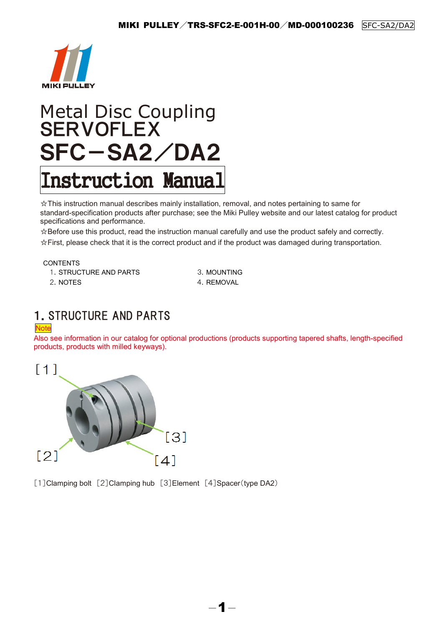

# Metal Disc Coupling **SERVOFLEX** SFC-SA2/DA2 Instruction Manual

☆This instruction manual describes mainly installation, removal, and notes pertaining to same for standard-specification products after purchase; see the Miki Pulley website and our latest catalog for product specifications and performance.

☆Before use this product, read the instruction manual carefully and use the product safely and correctly. ☆First, please check that it is the correct product and if the product was damaged during transportation.

CONTENTS

1. STRUCTURE AND PARTS 3. MOUNTING 2. NOTES 4. REMOVAL

## 1.STRUCTURE AND PARTS

#### Note

Also see information in our catalog for optional productions (products supporting tapered shafts, length-specified products, products with milled keyways).

 $-1-$ 



[1]Clamping bolt [2]Clamping hub [3]Element [4]Spacer(type DA2)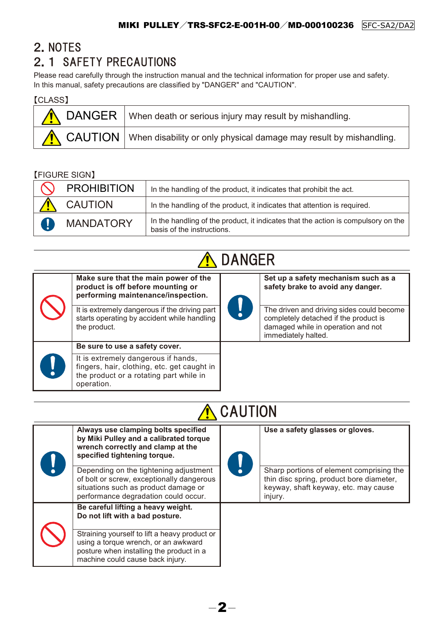## 2.NOTES 2.1 SAFETY PRECAUTIONS

Please read carefully through the instruction manual and the technical information for proper use and safety. In this manual, safety precautions are classified by "DANGER" and "CAUTION".

| <b>[CLASS]</b> |                                                                              |
|----------------|------------------------------------------------------------------------------|
|                | DANGER   When death or serious injury may result by mishandling.             |
|                | CAUTION   When disability or only physical damage may result by mishandling. |

### 【FIGURE SIGN】

| <b>PROHIBITION</b> | In the handling of the product, it indicates that prohibit the act.                                             |
|--------------------|-----------------------------------------------------------------------------------------------------------------|
| <b>CAUTION</b>     | In the handling of the product, it indicates that attention is required.                                        |
| <b>MANDATORY</b>   | In the handling of the product, it indicates that the action is compulsory on the<br>basis of the instructions. |

## **A** DANGER

| Make sure that the main power of the<br>product is off before mounting or<br>performing maintenance/inspection.<br>It is extremely dangerous if the driving part<br>starts operating by accident while handling<br>the product. | Set up a safety mechanism such as a<br>safety brake to avoid any danger.<br>The driven and driving sides could become<br>completely detached if the product is<br>damaged while in operation and not<br>immediately halted. |
|---------------------------------------------------------------------------------------------------------------------------------------------------------------------------------------------------------------------------------|-----------------------------------------------------------------------------------------------------------------------------------------------------------------------------------------------------------------------------|
| Be sure to use a safety cover.                                                                                                                                                                                                  |                                                                                                                                                                                                                             |
| It is extremely dangerous if hands,<br>fingers, hair, clothing, etc. get caught in<br>the product or a rotating part while in<br>operation.                                                                                     |                                                                                                                                                                                                                             |

## **A** CAUTION

|  | Always use clamping bolts specified<br>by Miki Pulley and a calibrated torque<br>wrench correctly and clamp at the<br>specified tightening torque.                    | Use a safety glasses or gloves.                                                                                                         |  |
|--|-----------------------------------------------------------------------------------------------------------------------------------------------------------------------|-----------------------------------------------------------------------------------------------------------------------------------------|--|
|  | Depending on the tightening adjustment<br>of bolt or screw, exceptionally dangerous<br>situations such as product damage or<br>performance degradation could occur.   | Sharp portions of element comprising the<br>thin disc spring, product bore diameter,<br>keyway, shaft keyway, etc. may cause<br>injury. |  |
|  | Be careful lifting a heavy weight.<br>Do not lift with a bad posture.                                                                                                 |                                                                                                                                         |  |
|  | Straining yourself to lift a heavy product or<br>using a torque wrench, or an awkward<br>posture when installing the product in a<br>machine could cause back injury. |                                                                                                                                         |  |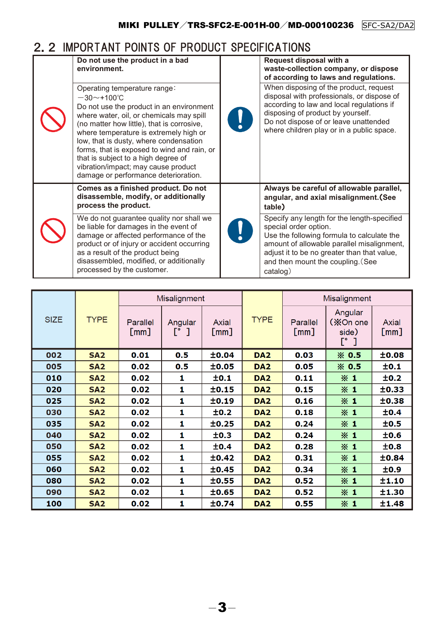## 2.2 IMPORTANT POINTS OF PRODUCT SPECIFICATIONS

| Do not use the product in a bad<br>environment.                                                                                                                                                                                                                                                                                                                                                                                              | Request disposal with a<br>waste-collection company, or dispose<br>of according to laws and regulations.                                                                                                                                                         |
|----------------------------------------------------------------------------------------------------------------------------------------------------------------------------------------------------------------------------------------------------------------------------------------------------------------------------------------------------------------------------------------------------------------------------------------------|------------------------------------------------------------------------------------------------------------------------------------------------------------------------------------------------------------------------------------------------------------------|
| Operating temperature range:<br>$-30$ ~+100°C<br>Do not use the product in an environment<br>where water, oil, or chemicals may spill<br>(no matter how little), that is corrosive,<br>where temperature is extremely high or<br>low, that is dusty, where condensation<br>forms, that is exposed to wind and rain, or<br>that is subject to a high degree of<br>vibration/impact; may cause product<br>damage or performance deterioration. | When disposing of the product, request<br>disposal with professionals, or dispose of<br>according to law and local regulations if<br>disposing of product by yourself.<br>Do not dispose of or leave unattended<br>where children play or in a public space.     |
| Comes as a finished product. Do not<br>disassemble, modify, or additionally<br>process the product.                                                                                                                                                                                                                                                                                                                                          | Always be careful of allowable parallel,<br>angular, and axial misalignment. (See<br>table)                                                                                                                                                                      |
| We do not guarantee quality nor shall we<br>be liable for damages in the event of<br>damage or affected performance of the<br>product or of injury or accident occurring<br>as a result of the product being<br>disassembled, modified, or additionally<br>processed by the customer.                                                                                                                                                        | Specify any length for the length-specified<br>special order option.<br>Use the following formula to calculate the<br>amount of allowable parallel misalignment,<br>adjust it to be no greater than that value,<br>and then mount the coupling. (See<br>catalog) |

| <b>SIZE</b> | <b>TYPE</b>     | Misalignment     |                                   |                          | Misalignment    |                             |                                      |                      |
|-------------|-----------------|------------------|-----------------------------------|--------------------------|-----------------|-----------------------------|--------------------------------------|----------------------|
|             |                 | Parallel<br>[mm] | Angular<br>$\mathsf{L}_\bullet$ ] | Axial<br>$\mathsf{[mm]}$ | <b>TYPE</b>     | Parallel<br>$\mathsf{[mm]}$ | Angular<br>(XOn one<br>side)<br>[° ] | <b>Axial</b><br>[mm] |
| 002         | SA <sub>2</sub> | 0.01             | 0.5                               | ±0.04                    | DA <sub>2</sub> | 0.03                        | $\times$ 0.5                         | ±0.08                |
| 005         | <b>SA2</b>      | 0.02             | 0.5                               | ±0.05                    | DA <sub>2</sub> | 0.05                        | $\times$ 0.5                         | ±0.1                 |
| 010         | SA <sub>2</sub> | 0.02             | 1                                 | ±0.1                     | DA <sub>2</sub> | 0.11                        | $\times 1$                           | ±0.2                 |
| 020         | SA <sub>2</sub> | 0.02             | 1                                 | ±0.15                    | DA <sub>2</sub> | 0.15                        | $\times 1$                           | ±0.33                |
| 025         | <b>SA2</b>      | 0.02             | 1                                 | ±0.19                    | DA <sub>2</sub> | 0.16                        | $\times 1$                           | ±0.38                |
| 030         | <b>SA2</b>      | 0.02             | 1                                 | ±0.2                     | DA <sub>2</sub> | 0.18                        | $\times 1$                           | ±0.4                 |
| 035         | SA <sub>2</sub> | 0.02             | 1                                 | ±0.25                    | DA <sub>2</sub> | 0.24                        | $\times 1$                           | ±0.5                 |
| 040         | SA <sub>2</sub> | 0.02             | 1                                 | ±0.3                     | DA <sub>2</sub> | 0.24                        | $\times$ 1                           | ±0.6                 |
| 050         | SA <sub>2</sub> | 0.02             | 1                                 | ±0.4                     | DA <sub>2</sub> | 0.28                        | $\times 1$                           | ±0.8                 |
| 055         | SA <sub>2</sub> | 0.02             | 1                                 | ±0.42                    | DA <sub>2</sub> | 0.31                        | $\times 1$                           | ±0.84                |
| 060         | SA <sub>2</sub> | 0.02             | 1                                 | ±0.45                    | DA <sub>2</sub> | 0.34                        | $\times 1$                           | ±0.9                 |
| 080         | SA <sub>2</sub> | 0.02             | 1                                 | ±0.55                    | DA <sub>2</sub> | 0.52                        | $\times 1$                           | ±1.10                |
| 090         | <b>SA2</b>      | 0.02             | 1                                 | ±0.65                    | DA <sub>2</sub> | 0.52                        | $\times 1$                           | ±1.30                |
| 100         | SA <sub>2</sub> | 0.02             | 1                                 | ±0.74                    | DA <sub>2</sub> | 0.55                        | $\times$ 1                           | ±1.48                |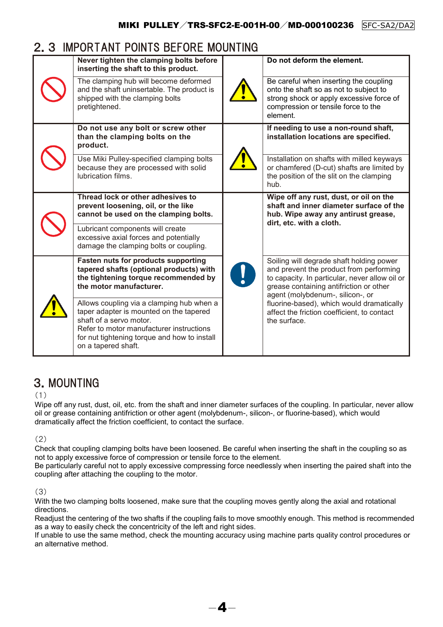### 2.3 IMPORTANT POINTS BEFORE MOUNTING

|  | Never tighten the clamping bolts before<br>inserting the shaft to this product.                                                                                                                                                    | Do not deform the element.                                                                                                                                                                                           |  |
|--|------------------------------------------------------------------------------------------------------------------------------------------------------------------------------------------------------------------------------------|----------------------------------------------------------------------------------------------------------------------------------------------------------------------------------------------------------------------|--|
|  | The clamping hub will become deformed<br>and the shaft uninsertable. The product is<br>shipped with the clamping bolts<br>pretightened.                                                                                            | Be careful when inserting the coupling<br>onto the shaft so as not to subject to<br>strong shock or apply excessive force of<br>compression or tensile force to the<br>element.                                      |  |
|  | Do not use any bolt or screw other<br>than the clamping bolts on the<br>product.                                                                                                                                                   | If needing to use a non-round shaft,<br>installation locations are specified.                                                                                                                                        |  |
|  | Use Miki Pulley-specified clamping bolts<br>because they are processed with solid<br>lubrication films.                                                                                                                            | Installation on shafts with milled keyways<br>or chamfered (D-cut) shafts are limited by<br>the position of the slit on the clamping<br>hub.                                                                         |  |
|  | Thread lock or other adhesives to<br>prevent loosening, oil, or the like<br>cannot be used on the clamping bolts.                                                                                                                  | Wipe off any rust, dust, or oil on the<br>shaft and inner diameter surface of the<br>hub. Wipe away any antirust grease,<br>dirt, etc. with a cloth.                                                                 |  |
|  | Lubricant components will create<br>excessive axial forces and potentially<br>damage the clamping bolts or coupling.                                                                                                               |                                                                                                                                                                                                                      |  |
|  | Fasten nuts for products supporting<br>tapered shafts (optional products) with<br>the tightening torque recommended by<br>the motor manufacturer.                                                                                  | Soiling will degrade shaft holding power<br>and prevent the product from performing<br>to capacity. In particular, never allow oil or<br>grease containing antifriction or other<br>agent (molybdenum-, silicon-, or |  |
|  | Allows coupling via a clamping hub when a<br>taper adapter is mounted on the tapered<br>shaft of a servo motor.<br>Refer to motor manufacturer instructions<br>for nut tightening torque and how to install<br>on a tapered shaft. | fluorine-based), which would dramatically<br>affect the friction coefficient, to contact<br>the surface.                                                                                                             |  |

## 3.MOUNTING

#### (1)

Wipe off any rust, dust, oil, etc. from the shaft and inner diameter surfaces of the coupling. In particular, never allow oil or grease containing antifriction or other agent (molybdenum-, silicon-, or fluorine-based), which would dramatically affect the friction coefficient, to contact the surface.

(2)

Check that coupling clamping bolts have been loosened. Be careful when inserting the shaft in the coupling so as not to apply excessive force of compression or tensile force to the element.

Be particularly careful not to apply excessive compressing force needlessly when inserting the paired shaft into the coupling after attaching the coupling to the motor.

#### (3)

With the two clamping bolts loosened, make sure that the coupling moves gently along the axial and rotational directions.

Readjust the centering of the two shafts if the coupling fails to move smoothly enough. This method is recommended as a way to easily check the concentricity of the left and right sides.

If unable to use the same method, check the mounting accuracy using machine parts quality control procedures or an alternative method.

 $-4-$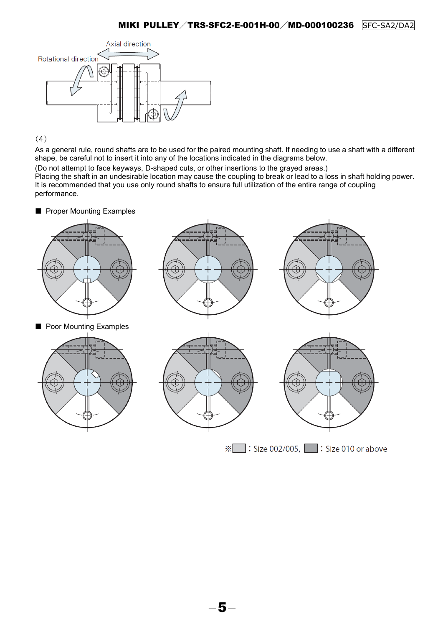

(4)

As a general rule, round shafts are to be used for the paired mounting shaft. If needing to use a shaft with a different shape, be careful not to insert it into any of the locations indicated in the diagrams below.

(Do not attempt to face keyways, D-shaped cuts, or other insertions to the grayed areas.)

Placing the shaft in an undesirable location may cause the coupling to break or lead to a loss in shaft holding power. It is recommended that you use only round shafts to ensure full utilization of the entire range of coupling performance.

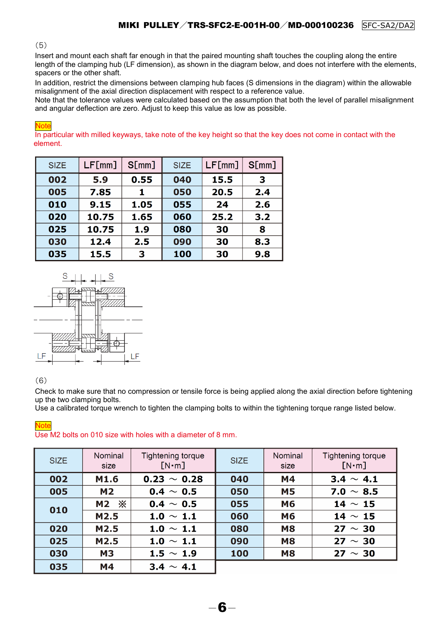#### (5)

Insert and mount each shaft far enough in that the paired mounting shaft touches the coupling along the entire length of the clamping hub (LF dimension), as shown in the diagram below, and does not interfere with the elements, spacers or the other shaft.

In addition, restrict the dimensions between clamping hub faces (S dimensions in the diagram) within the allowable misalignment of the axial direction displacement with respect to a reference value.

Note that the tolerance values were calculated based on the assumption that both the level of parallel misalignment and angular deflection are zero. Adjust to keep this value as low as possible.

#### **Note**

In particular with milled keyways, take note of the key height so that the key does not come in contact with the element.

| <b>SIZE</b> | LF[mm] | S[mm] | <b>SIZE</b> | LF[mm] | S[mm] |
|-------------|--------|-------|-------------|--------|-------|
| 002         | 5.9    | 0.55  | 040         | 15.5   | 3     |
| 005         | 7.85   | 1     | 050         | 20.5   | 2.4   |
| 010         | 9.15   | 1.05  | 055         | 24     | 2.6   |
| 020         | 10.75  | 1.65  | 060         | 25.2   | 3.2   |
| 025         | 10.75  | 1.9   | 080         | 30     | 8     |
| 030         | 12.4   | 2.5   | 090         | 30     | 8.3   |
| 035         | 15.5   | 3     | 100         | 30     | 9.8   |



#### (6)

Check to make sure that no compression or tensile force is being applied along the axial direction before tightening up the two clamping bolts.

Use a calibrated torque wrench to tighten the clamping bolts to within the tightening torque range listed below.

#### **Tightening torque Tightening torque** Nominal **Nominal SIZE SIZE**  $[N \cdot m]$ size  $[N \cdot m]$ size **M4**  $3.4 \sim 4.1$ 002 M1.6  $0.23 \sim 0.28$ 040 005  $M<sub>2</sub>$  $0.4 \sim 0.5$ 050 **M5** 7.0  $\sim$  8.5 **M2 ※**  $0.4 \sim 0.5$ 055 **M6**  $14 \sim 15$ 010 M2.5  $1.0 \sim 1.1$ 060 M<sub>6</sub> 14  $\sim$  15 M<sub>2.5</sub> 080  $27 \sim 30$ 020  $1.0 \sim 1.1$ **M8** 025 M2.5  $1.0 \sim 1.1$ 090  $27 \sim 30$ **M8** 030 **M3** 1.5  $\sim$  1.9 100 **M8** 27  $\sim$  30 035 **M4**  $3.4 \sim 4.1$

**Note** Use M2 bolts on 010 size with holes with a diameter of 8 mm.